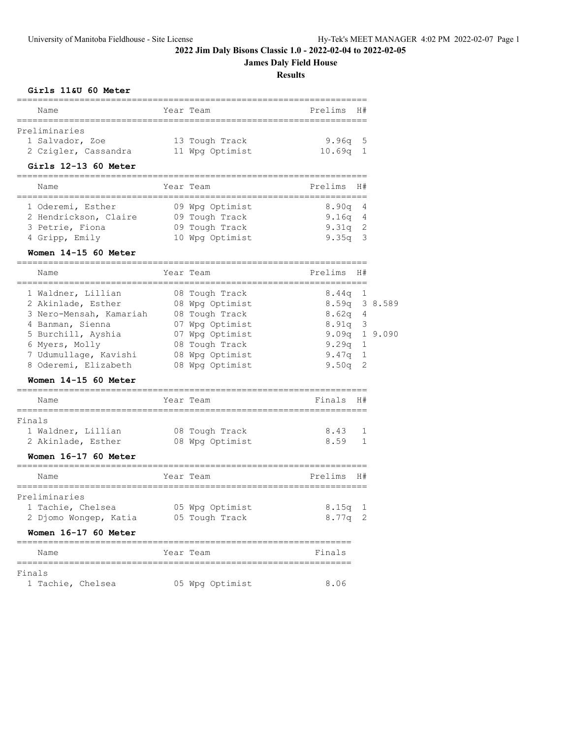# **James Daly Field House**

**Results**

### **Girls 11&U 60 Meter**

| Name                 |  | Year Team       | Prelims H# |  |  |  |  |  |  |  |
|----------------------|--|-----------------|------------|--|--|--|--|--|--|--|
|                      |  |                 |            |  |  |  |  |  |  |  |
| Preliminaries        |  |                 |            |  |  |  |  |  |  |  |
| 1 Salvador, Zoe      |  | 13 Tough Track  | $9.96q$ 5  |  |  |  |  |  |  |  |
| 2 Czigler, Cassandra |  | 11 Wpg Optimist | $10.69q$ 1 |  |  |  |  |  |  |  |
|                      |  |                 |            |  |  |  |  |  |  |  |

# **Girls 12-13 60 Meter**

| Name                  |  | Year Team       | Prelims H# |  |  |  |  |  |  |  |
|-----------------------|--|-----------------|------------|--|--|--|--|--|--|--|
|                       |  |                 |            |  |  |  |  |  |  |  |
| 1 Oderemi, Esther     |  | 09 Wpg Optimist | $8.90q$ 4  |  |  |  |  |  |  |  |
| 2 Hendrickson, Claire |  | 09 Tough Track  | 9.16q 4    |  |  |  |  |  |  |  |
| 3 Petrie, Fiona       |  | 09 Tough Track  | $9.31q$ 2  |  |  |  |  |  |  |  |
| 4 Gripp, Emily        |  | 10 Wpg Optimist | $9.35q$ 3  |  |  |  |  |  |  |  |

### **Women 14-15 60 Meter**

|                                        | Year Team       | Prelims         | H#           |  |
|----------------------------------------|-----------------|-----------------|--------------|--|
| Name                                   |                 |                 |              |  |
| 1 Waldner, Lillian                     | 08 Tough Track  | 8.44a           | 1            |  |
| 2 Akinlade, Esther 08 Wpg Optimist     |                 | 8.59q 3 8.589   |              |  |
| 3 Nero-Mensah, Kamariah 08 Tough Track |                 | $8.62q$ 4       |              |  |
| 4 Banman, Sienna                       | 07 Wpg Optimist | $8.91q$ 3       |              |  |
| 5 Burchill, Ayshia 67 Wpq Optimist     |                 | $9.09q$ 1 9.090 |              |  |
| 6 Myers, Molly                         | 08 Tough Track  | $9.29\sigma$    | 1            |  |
| 7 Udumullage, Kavishi 08 Wpg Optimist  |                 | $9.47q$ 1       |              |  |
| 8 Oderemi, Elizabeth                   | 08 Wpg Optimist | $9.50q$ 2       |              |  |
| Women 14-15 60 Meter                   |                 |                 |              |  |
| Name                                   | Year Team       | Finals          | H#           |  |
| Finals                                 |                 |                 |              |  |
| 1 Waldner, Lillian 68 Tough Track      |                 | 8.43            | 1            |  |
| 2 Akinlade, Esther                     | 08 Wpg Optimist | 8.59            | $\mathbf{1}$ |  |
| Women 16-17 60 Meter                   |                 |                 |              |  |
| Name                                   | Year Team       | Prelims         | H#           |  |
| Preliminaries                          |                 |                 |              |  |
| 1 Tachie, Chelsea 65 Wpg Optimist      |                 | $8.15$ a 1      |              |  |
| 2 Djomo Wongep, Katia 65 Tough Track   |                 | $8.77q$ 2       |              |  |
| Women 16-17 60 Meter                   |                 |                 |              |  |
|                                        |                 |                 |              |  |

|        | Name |                   | Year Team |                 | Finals |
|--------|------|-------------------|-----------|-----------------|--------|
|        |      |                   |           |                 |        |
| Finals |      |                   |           |                 |        |
|        |      | 1 Tachie, Chelsea |           | 05 Wpg Optimist | 8.06   |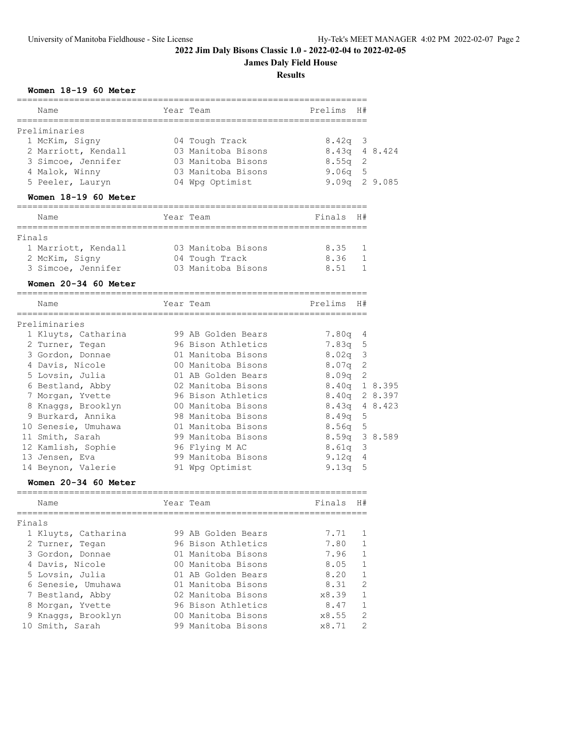**James Daly Field House**

**Results**

### **Women 18-19 60 Meter**

| Name                                                  | Year Team                    | Prelims                 | H#             |         |
|-------------------------------------------------------|------------------------------|-------------------------|----------------|---------|
|                                                       |                              |                         |                |         |
| Preliminaries                                         |                              |                         |                |         |
| 1 McKim, Signy                                        | 04 Tough Track               | 8.42q                   | 3              |         |
| 2 Marriott, Kendall                                   | 03 Manitoba Bisons           | 8.43q                   |                | 4 8.424 |
| 3 Simcoe, Jennifer                                    | 03 Manitoba Bisons           | 8.55q                   | 2              |         |
| 4 Malok, Winny                                        | 03 Manitoba Bisons           | 9.06q                   | 5              |         |
| 5 Peeler, Lauryn                                      | 04 Wpg Optimist              | 9.09q                   |                | 2 9.085 |
| Women 18-19 60 Meter<br>============================= |                              |                         |                |         |
| Name<br>===============                               | Year Team<br>=============== | Finals<br>============= | H#             |         |
| Finals                                                |                              |                         |                |         |
| 1 Marriott, Kendall                                   | 03 Manitoba Bisons           | 8.35                    | 1              |         |
| 2 McKim, Signy                                        | 04 Tough Track               | 8.36                    | $\mathbf{1}$   |         |
| 3 Simcoe, Jennifer                                    | 03 Manitoba Bisons           | 8.51                    | 1              |         |
|                                                       |                              |                         |                |         |
| Women 20-34 60 Meter<br>----------------------------  |                              |                         |                |         |
| Name                                                  | Year Team                    | Prelims                 | H#             |         |
| Preliminaries                                         |                              |                         |                |         |
| 1 Kluyts, Catharina                                   | 99 AB Golden Bears           | 7.80q                   | 4              |         |
| 2 Turner, Tegan                                       | 96 Bison Athletics           | 7.83q                   | 5              |         |
| 3 Gordon, Donnae                                      | 01 Manitoba Bisons           | 8.02q                   | $\mathcal{E}$  |         |
| 4 Davis, Nicole                                       | 00 Manitoba Bisons           | 8.07q                   | 2              |         |
| 5 Lovsin, Julia                                       | 01 AB Golden Bears           | 8.09q                   | $\mathfrak{D}$ |         |
| 6 Bestland, Abby                                      | 02 Manitoba Bisons           | 8.40q                   |                | 1 8.395 |
| 7 Morgan, Yvette                                      | 96 Bison Athletics           | 8.40q                   |                | 2 8.397 |
| 8 Knaggs, Brooklyn                                    | 00 Manitoba Bisons           | 8.43q                   |                | 4 8.423 |
| 9 Burkard, Annika                                     | 98 Manitoba Bisons           | 8.49q                   | 5              |         |
| 10 Senesie, Umuhawa                                   | 01 Manitoba Bisons           | 8.56q                   | 5              |         |
| 11 Smith, Sarah                                       | 99 Manitoba Bisons           | 8.59q                   |                | 3 8.589 |
| 12 Kamlish, Sophie                                    | 96 Flying M AC               | 8.61q                   | 3              |         |
| 13 Jensen, Eva                                        | 99 Manitoba Bisons           | 9.12q                   | 4              |         |
| 14 Beynon, Valerie                                    | 91 Wpg Optimist              | 9.13q                   | 5              |         |
| Women 20-34 60 Meter<br>------------------------      |                              |                         |                |         |
| Name                                                  | Year Team                    | Finals                  | H#             |         |
| Finals                                                | ===============              |                         |                |         |
| 1 Kluyts, Catharina                                   | 99 AB Golden Bears           | 7.71                    | 1              |         |
| 2 Turner, Tegan                                       | 96 Bison Athletics           | 7.80                    | 1              |         |
| 3 Gordon, Donnae                                      | 01 Manitoba Bisons           | 7.96                    | 1              |         |
| 4 Davis, Nicole                                       | 00 Manitoba Bisons           | 8.05                    | 1              |         |
| 5 Lovsin, Julia                                       | 01 AB Golden Bears           | 8.20                    | 1              |         |
| 6 Senesie, Umuhawa                                    | 01 Manitoba Bisons           | 8.31                    | 2              |         |
| 7 Bestland, Abby                                      | 02 Manitoba Bisons           | x8.39                   | 1              |         |
| 8 Morgan, Yvette                                      | 96 Bison Athletics           | 8.47                    | 1              |         |
| 9 Knaggs, Brooklyn                                    | 00 Manitoba Bisons           | x8.55                   | $\overline{c}$ |         |
| 10 Smith, Sarah                                       | 99 Manitoba Bisons           | x8.71                   | $\overline{c}$ |         |
|                                                       |                              |                         |                |         |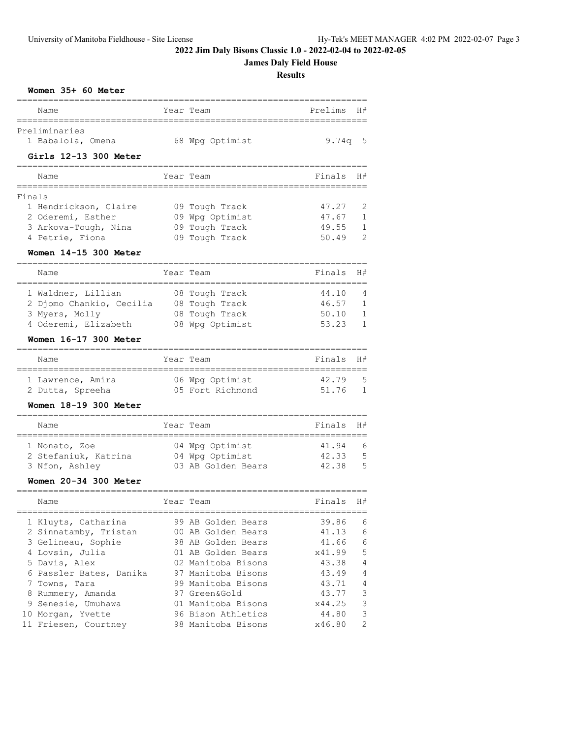### **James Daly Field House**

|        | Women 35+ 60 Meter                                |             |                    | <b>Results</b> |                |
|--------|---------------------------------------------------|-------------|--------------------|----------------|----------------|
|        | Name                                              |             | Year Team          | Prelims        | H#             |
|        | ===========<br>Preliminaries                      | :========== |                    |                |                |
|        | 1 Babalola, Omena<br>Girls 12-13 300 Meter        |             | 68 Wpg Optimist    | 9.74q 5        |                |
|        | Name                                              |             | Year Team          | Finals         | H#             |
| Finals | ===========                                       |             |                    |                |                |
|        | 1 Hendrickson, Claire                             |             | 09 Tough Track     | 47.27          | 2              |
|        | 2 Oderemi, Esther                                 |             | 09 Wpg Optimist    | 47.67          | 1              |
|        | 3 Arkova-Tough, Nina                              |             | 09 Tough Track     | 49.55          | 1              |
|        | 4 Petrie, Fiona                                   |             | 09 Tough Track     | 50.49          | $\overline{2}$ |
|        | Women 14-15 300 Meter<br>________________________ |             |                    |                |                |
|        | Name                                              |             | Year Team          | Finals         | H#             |
|        | 1 Waldner, Lillian                                |             | 08 Tough Track     | 44.10          | 4              |
|        | 2 Djomo Chankio, Cecilia                          |             | 08 Tough Track     | 46.57          | 1              |
|        | 3 Myers, Molly                                    |             | 08 Tough Track     | 50.10          | 1              |
|        | 4 Oderemi, Elizabeth                              |             | 08 Wpg Optimist    | 53.23          | 1              |
|        | Women 16-17 300 Meter                             |             |                    |                |                |
|        | Name                                              |             | Year Team          | Finals         | H#             |
|        | 1 Lawrence, Amira                                 |             | 06 Wpg Optimist    | 42.79          | 5              |
|        | 2 Dutta, Spreeha                                  |             | 05 Fort Richmond   | 51.76          | 1              |
|        | Women 18-19 300 Meter                             |             |                    |                |                |
|        | Name                                              |             | Year Team          | Finals         | H#             |
|        | 1 Nonato, Zoe                                     |             | 04 Wpg Optimist    | 41.94          | 6              |
|        | 2 Stefaniuk, Katrina                              |             | 04 Wpg Optimist    | 42.33          | 5              |
|        | 3 Nfon, Ashley                                    |             | 03 AB Golden Bears | 42.38          | 5              |
|        | Women 20-34 300 Meter                             |             |                    |                |                |
|        | Name                                              |             | Year Team          | Finals         | H#             |
|        | 1 Kluyts, Catharina                               |             | 99 AB Golden Bears | 39.86          | 6              |
|        | 2 Sinnatamby, Tristan                             |             | 00 AB Golden Bears | 41.13          | 6              |
|        | 3 Gelineau, Sophie                                |             | 98 AB Golden Bears | 41.66          | 6              |
|        | 4 Lovsin, Julia                                   |             | 01 AB Golden Bears | x41.99         | 5              |
|        | 5 Davis, Alex                                     |             | 02 Manitoba Bisons | 43.38          | 4              |
|        | 6 Passler Bates, Danika                           |             | 97 Manitoba Bisons | 43.49          | 4              |
|        | 7 Towns, Tara                                     |             | 99 Manitoba Bisons | 43.71          | 4              |
|        | 8 Rummery, Amanda                                 |             | 97 Green&Gold      | 43.77          | 3              |
|        | 9 Senesie, Umuhawa                                |             | 01 Manitoba Bisons | x44.25         | 3              |
|        | 10 Morgan, Yvette                                 |             | 96 Bison Athletics | 44.80          | 3              |
|        | 11 Friesen, Courtney                              |             | 98 Manitoba Bisons | x46.80         | $\overline{c}$ |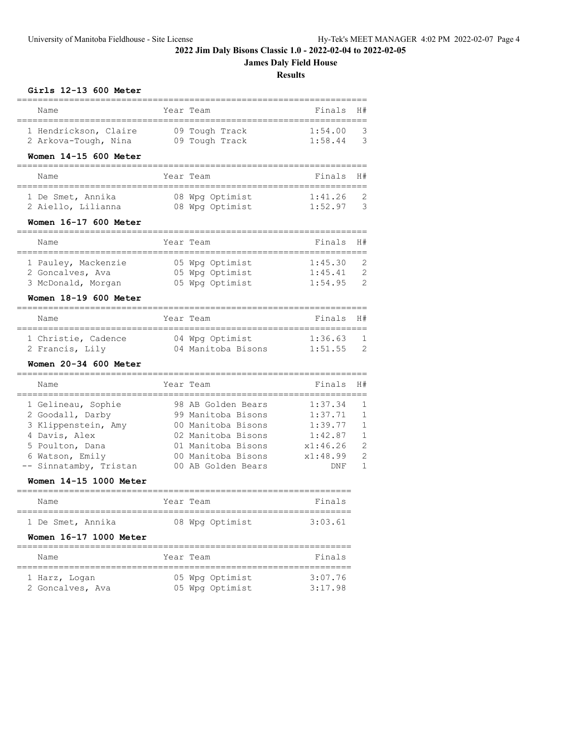# **James Daly Field House**

|                                        |                                          | <b>Results</b>                         |                |
|----------------------------------------|------------------------------------------|----------------------------------------|----------------|
| Girls 12-13 600 Meter                  |                                          |                                        |                |
| Name                                   | Year Team                                | Finals                                 | H#             |
| 1 Hendrickson, Claire                  | 09 Tough Track                           | 1:54.00                                | 3              |
| 2 Arkova-Tough, Nina                   | 09 Tough Track                           | 1:58.44                                | 3              |
| Women 14-15 600 Meter                  |                                          |                                        |                |
| Name                                   | Year Team                                | Finals                                 | H#             |
| 1 De Smet, Annika                      | 08 Wpg Optimist                          | 1:41.26                                | 2              |
| 2 Aiello, Lilianna                     | 08 Wpg Optimist                          | 1:52.97                                | $\mathcal{S}$  |
| Women 16-17 600 Meter                  |                                          |                                        |                |
| Name                                   | Year Team                                | Finals                                 | H#             |
| 1 Pauley, Mackenzie                    | 05 Wpg Optimist                          | 1:45.30                                | 2              |
| 2 Goncalves, Ava                       | 05 Wpg Optimist                          | 1:45.41                                | $\overline{c}$ |
| 3 McDonald, Morgan                     | 05 Wpg Optimist                          | 1:54.95                                | $\overline{c}$ |
| Women 18-19 600 Meter                  |                                          |                                        |                |
| Name                                   | Year Team                                | Finals                                 | H#             |
| 1 Christie, Cadence                    | 04 Wpg Optimist                          | 1:36.63                                | 1              |
| 2 Francis, Lily                        | 04 Manitoba Bisons                       | 1:51.55                                | $\overline{c}$ |
| Women 20-34 600 Meter                  |                                          |                                        |                |
| Name                                   | Year Team                                | Finals                                 | H#             |
| 1 Gelineau, Sophie                     | 98 AB Golden Bears                       | 1:37.34                                | 1              |
| 2 Goodall, Darby                       | 99 Manitoba Bisons                       | 1:37.71                                | $\mathbf{1}$   |
| 3 Klippenstein, Amy<br>4 Davis, Alex   | 00 Manitoba Bisons<br>02 Manitoba Bisons | 1:39.77<br>1:42.87                     | 1<br>1         |
| 5 Poulton, Dana                        | 01 Manitoba Bisons                       | x1:46.26                               | $\overline{c}$ |
| 6 Watson, Emily                        | 00 Manitoba Bisons                       | x1:48.99                               | $\overline{c}$ |
| -- Sinnatamby, Tristan                 | 00 AB Golden Bears                       | DNF                                    | 1              |
| Women 14-15 1000 Meter                 |                                          |                                        |                |
| Name<br>._____________________________ | Year Team                                | Finals<br>**************************** |                |
| 1 De Smet, Annika                      | 08 Wpg Optimist                          | 3:03.61                                |                |
| Women 16-17 1000 Meter                 |                                          |                                        |                |
| ===================<br>Name            | Year Team                                | Finals                                 |                |
|                                        |                                          |                                        |                |

 1 Harz, Logan 05 Wpg Optimist 3:07.76 2 Goncalves, Ava 05 Wpg Optimist 3:17.98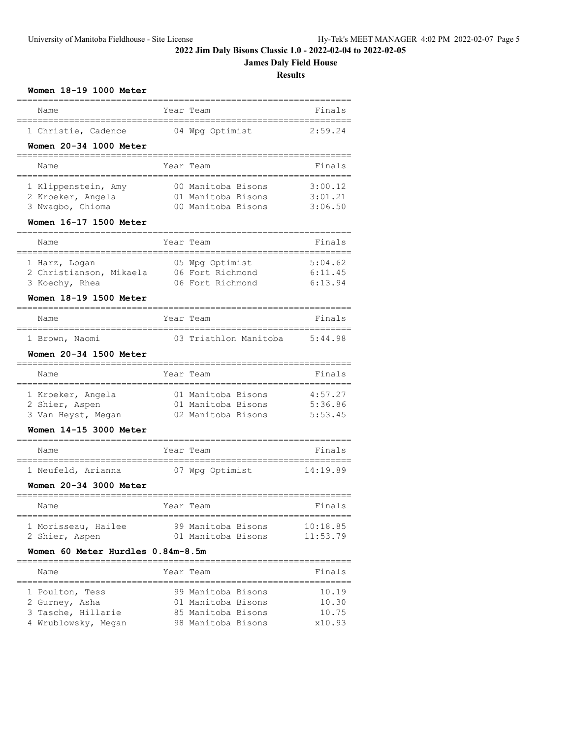# **James Daly Field House**

**Results**

| Women 18-19 1000 Meter                               |      |                                      |                     |
|------------------------------------------------------|------|--------------------------------------|---------------------|
| Name                                                 |      | Year Team                            | Finals              |
| 1 Christie, Cadence                                  |      | 04 Wpg Optimist                      | 2:59.24             |
| Women 20-34 1000 Meter                               |      |                                      |                     |
| Name                                                 |      | Year Team                            | Finals              |
| 1 Klippenstein, Amy                                  |      | 00 Manitoba Bisons                   | 3:00.12             |
| 2 Kroeker, Angela                                    |      | 01 Manitoba Bisons                   | 3:01.21             |
| 3 Nwagbo, Chioma                                     |      | 00 Manitoba Bisons                   | 3:06.50             |
| Women 16-17 1500 Meter                               |      |                                      |                     |
| Name                                                 | Year | Team                                 | Finals              |
| 1 Harz, Logan                                        |      | 05 Wpg Optimist                      | 5:04.62             |
| 2 Christianson, Mikaela                              |      | 06 Fort Richmond<br>06 Fort Richmond | 6:11.45<br>6:13.94  |
| 3 Koechy, Rhea                                       |      |                                      |                     |
| Women 18-19 1500 Meter<br>=================          |      |                                      |                     |
| Name<br>============                                 |      | Year Team                            | Finals              |
| 1 Brown, Naomi                                       |      | 03 Triathlon Manitoba                | 5:44.98             |
| Women 20-34 1500 Meter                               |      |                                      |                     |
| Name<br>==================                           | .    | Year Team                            | Finals              |
| 1 Kroeker, Angela                                    |      | 01 Manitoba Bisons                   | 4:57.27             |
| 2 Shier, Aspen                                       |      | 01 Manitoba Bisons                   | 5:36.86             |
| 3 Van Heyst, Megan                                   |      | 02 Manitoba Bisons                   | 5:53.45             |
| Women 14-15 3000 Meter<br>========================== |      |                                      |                     |
| Name                                                 |      | Year Team                            | Finals              |
| 1 Neufeld, Arianna                                   |      | 07 Wpg Optimist                      | 14:19.89            |
| Women 20-34 3000 Meter<br>==========                 |      |                                      |                     |
| Name                                                 |      | rear Team                            | Finals<br>========= |
| 1 Morisseau, Hailee                                  |      | 99 Manitoba Bisons                   | 10:18.85            |
| 2 Shier, Aspen                                       |      | 01 Manitoba Bisons                   | 11:53.79            |
| Women 60 Meter Hurdles 0.84m-8.5m                    |      |                                      |                     |
| Name                                                 |      | Year Team                            | Finals              |
| 1 Poulton, Tess                                      |      | 99 Manitoba Bisons                   | 10.19               |
| 2 Gurney, Asha                                       |      | 01 Manitoba Bisons                   | 10.30               |
| 3 Tasche, Hillarie                                   |      | 85 Manitoba Bisons                   | 10.75               |
| 4 Wrublowsky, Megan                                  |      | 98 Manitoba Bisons                   | x10.93              |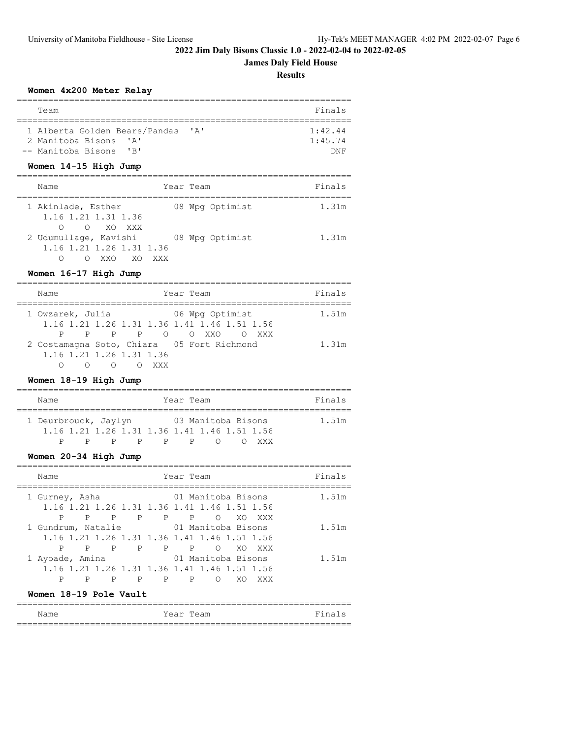# **James Daly Field House**

**Results**

#### **Women 4x200 Meter Relay**

| Team                              |                           | Finals     |
|-----------------------------------|---------------------------|------------|
|                                   |                           |            |
| 1 Alberta Golden Bears/Pandas     | $\mathsf{r}_{\mathsf{A}}$ | 1:42.44    |
| 2 Manitoba Bisons<br>$\mathbf{A}$ |                           | 1:45.74    |
| -- Manitoba Bisons<br>$'$ R $'$   |                           | <b>RNE</b> |

### **Women 14-15 High Jump**

| Name                                                           | Year Team |                 | Finals |
|----------------------------------------------------------------|-----------|-----------------|--------|
| 1 Akinlade, Esther<br>1.16 1.21 1.31 1.36<br>O XO XXX          |           | 08 Wpg Optimist | 1.31m  |
| 2 Udumullage, Kavishi<br>1.16 1.21 1.26 1.31 1.36<br>YY∩<br>XΟ | XXX       | 08 Wpg Optimist | 1.31m  |

### **Women 16-17 High Jump**

| Name                                                                                      | Year Team       | Finals |
|-------------------------------------------------------------------------------------------|-----------------|--------|
| 1 Owzarek, Julia<br>1.16 1.21 1.26 1.31 1.36 1.41 1.46 1.51 1.56                          | 06 Wpg Optimist | 1.51m  |
| P P P P O O XXO<br>2 Costamagna Soto, Chiara 05 Fort Richmond<br>1.16 1.21 1.26 1.31 1.36 | OXXX O          | 1.31m  |

# **Women 18-19 High Jump**

| Name                 |  |    |    | Year Team |                    |                                                       | Finals |
|----------------------|--|----|----|-----------|--------------------|-------------------------------------------------------|--------|
|                      |  |    |    |           |                    |                                                       |        |
| 1 Deurbrouck, Jaylyn |  |    |    |           | 03 Manitoba Bisons |                                                       | 1.51m  |
|                      |  |    |    |           |                    | 1, 16 1, 21 1, 26 1, 31 1, 36 1, 41 1, 46 1, 51 1, 56 |        |
|                      |  | P. | P. | D         |                    | <b>XXX</b>                                            |        |

# **Women 20-34 High Jump**

| Name                                                                                                       | Year Team                                         | Finals |
|------------------------------------------------------------------------------------------------------------|---------------------------------------------------|--------|
| 1 Gurney, Asha<br>1.16 1.21 1.26 1.31 1.36 1.41 1.46 1.51 1.56<br>P P P P<br>Ρ<br>P                        | 01 Manitoba Bisons<br>$\circ$<br>XO<br><b>XXX</b> | 1.51m  |
| 1 Gundrum, Natalie<br>1.16 1.21 1.26 1.31 1.36 1.41 1.46 1.51 1.56<br>$P \qquad \qquad$<br>P P P<br>Ρ<br>Ρ | 01 Manitoba Bisons<br>$\circ$<br>XO.<br>XXX       | 1.51m  |
| 1 Ayoade, Amina<br>1.16 1.21 1.26 1.31 1.36 1.41 1.46 1.51 1.56<br>P<br>P<br>P<br>Ρ                        | 01 Manitoba Bisons<br>P<br>XΟ<br>∩<br>XXX         | 1.51m  |

### **Women 18-19 Pole Vault**

| Name | Year Team | Fina<br>$\sim$ |
|------|-----------|----------------|
|      |           |                |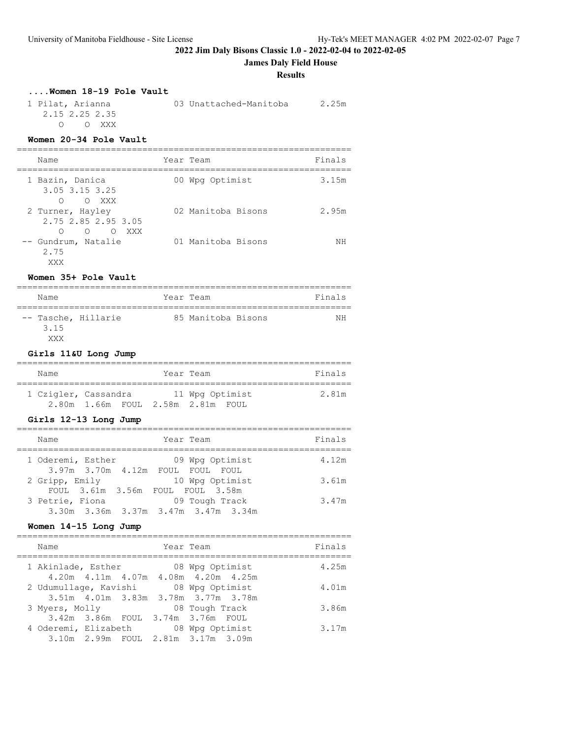**James Daly Field House**

#### **Results**

### **....Women 18-19 Pole Vault**

| 1 Pilat, Arianna | 03 Unattached-Manitoba | 2.25m |
|------------------|------------------------|-------|
| 2.15 2.25 2.35   |                        |       |
| OOXXX            |                        |       |

# **Women 20-34 Pole Vault**

| Name        |                                                                           | Year Team          | Finals |
|-------------|---------------------------------------------------------------------------|--------------------|--------|
|             | 1 Bazin, Danica<br>3.05 3.15 3.25<br>O XXX<br>∩                           | 00 Wpg Optimist    | 3.15m  |
|             | 2 Turner, Hayley<br>2.75 2.85 2.95 3.05<br>$\Omega$<br>XXX<br>∩<br>$\cap$ | 02 Manitoba Bisons | 2.95m  |
| 2.75<br>XXX | -- Gundrum, Natalie                                                       | 01 Manitoba Bisons | ΝH     |

### **Women 35+ Pole Vault**

| Name                               |  | Year Team          | Finals |
|------------------------------------|--|--------------------|--------|
| -- Tasche, Hillarie<br>3.15<br>YYY |  | 85 Manitoba Bisons | ΝH     |

# **Girls 11&U Long Jump**

| Name                 |  | Year Team                         |                 |  | Finals |
|----------------------|--|-----------------------------------|-----------------|--|--------|
| 1 Czigler, Cassandra |  |                                   | 11 Wpg Optimist |  | 2.81m  |
|                      |  | 2.80m 1.66m FOUL 2.58m 2.81m FOUL |                 |  |        |

# **Girls 12-13 Long Jump**

| Name              |  | Year Team                                             |  | Finals |
|-------------------|--|-------------------------------------------------------|--|--------|
| 1 Oderemi, Esther |  | 09 Wpg Optimist<br>3.97m 3.70m 4.12m FOUL FOUL FOUL   |  | 4.12m  |
| 2 Gripp, Emily    |  | 10 Wpg Optimist<br>FOUL 3.61m 3.56m FOUL FOUL 3.58m   |  | 3.61m  |
| 3 Petrie, Fiona   |  | 09 Tough Track<br>3.30m 3.36m 3.37m 3.47m 3.47m 3.34m |  | 3.47m  |

### **Women 14-15 Long Jump**

| Name                  |  | Year Team                                                                                  | Finals |
|-----------------------|--|--------------------------------------------------------------------------------------------|--------|
| 1 Akinlade, Esther    |  | 08 Wpg Optimist<br>4.20m  4.11m  4.07m  4.08m  4.20m  4.25m                                | 4.25m  |
| 2 Udumullage, Kavishi |  | 08 Wpg Optimist<br>3.51m 4.01m 3.83m 3.78m 3.77m 3.78m                                     | 4.01m  |
| 3 Myers, Molly        |  | 08 Tough Track                                                                             | 3.86m  |
| 4 Oderemi, Elizabeth  |  | 3.42m 3.86m FOUL 3.74m 3.76m FOUL<br>08 Wpg Optimist<br>3.10m 2.99m FOUL 2.81m 3.17m 3.09m | 3.17m  |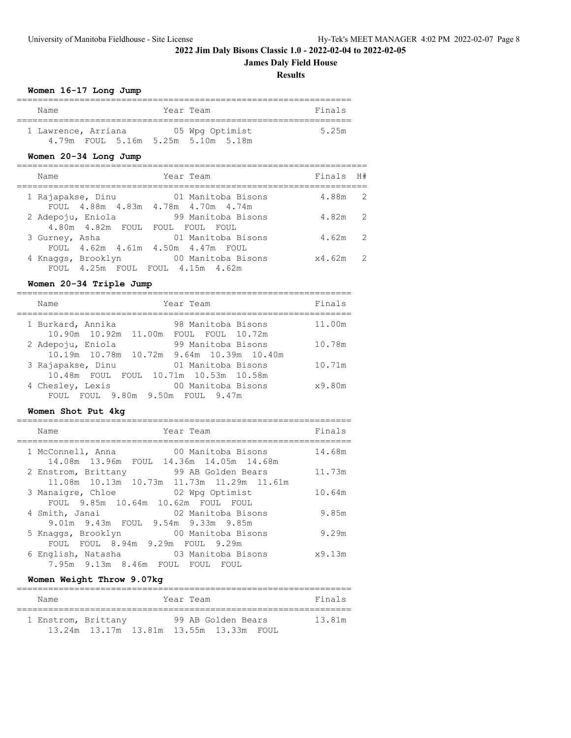# **James Daly Field House**

**Results**

### **Women 16-17 Long Jump**

| Name                                                      |  | Year Team |                 | Finals |
|-----------------------------------------------------------|--|-----------|-----------------|--------|
| 1 Lawrence, Arriana<br>4.79m FOUL 5.16m 5.25m 5.10m 5.18m |  |           | 05 Wpg Optimist | 5.25m  |

# **Women 20-34 Long Jump**

| Name                                             | Year Team                                                | Finals<br>H#             |
|--------------------------------------------------|----------------------------------------------------------|--------------------------|
| 1 Rajapakse, Dinu                                | 01 Manitoba Bisons<br>FOUL 4.88m 4.83m 4.78m 4.70m 4.74m | 4.88m 2                  |
| 2 Adepoju, Eniola<br>4.80m  4.82m  FOUL          | 99 Manitoba Bisons<br>FOUL<br>FOUL.<br>FOUL.             | 4.82m<br>-2              |
| 3 Gurney, Asha                                   | 01 Manitoba Bisons<br>FOUL 4.62m 4.61m 4.50m 4.47m FOUL  | 4.62m<br>2               |
| 4 Knaggs, Brooklyn<br>$FOIII.$ 4.25 $m$ $FOIII.$ | 00 Manitoba Bisons<br>FOUL 4.15m 4.62m                   | $\overline{2}$<br>x4.62m |

# **Women 20-34 Triple Jump**

| Year Team<br>Name                                                                   | Finals |
|-------------------------------------------------------------------------------------|--------|
| 1 Burkard, Annika<br>98 Manitoba Bisons<br>10.90m 10.92m 11.00m<br>FOUL FOUL 10.72m | 11.00m |
| 99 Manitoba Bisons<br>2 Adepoju, Eniola<br>10.19m 10.78m 10.72m 9.64m 10.39m 10.40m | 10.78m |
| 3 Rajapakse, Dinu<br>01 Manitoba Bisons<br>10.48m FOUL FOUL 10.71m 10.53m 10.58m    | 10.71m |
| 00 Manitoba Bisons<br>4 Chesley, Lexis<br>FOUL 9.80m 9.50m FOUL 9.47m<br>FOUL.      | x9.80m |

# **Women Shot Put 4kg**

| Finals<br>Name<br>Year Team<br>14.68m<br>00 Manitoba Bisons<br>1 McConnell, Anna<br>14.08m  13.96m  FOUL  14.36m  14.05m  14.68m<br>99 AB Golden Bears<br>11.73m<br>2 Enstrom, Brittany<br>11.08m  10.13m  10.73m  11.73m  11.29m  11.61m<br>3 Manaigre, Chloe<br>02 Wpg Optimist<br>10.64m<br>FOUL 9.85m 10.64m 10.62m FOUL FOUL<br>9.85m<br>02 Manitoba Bisons<br>4 Smith, Janai<br>9.01m 9.43m FOUL 9.54m 9.33m 9.85m<br>9.29m<br>00 Manitoba Bisons<br>5 Knaggs, Brooklyn<br>FOUL 8.94m 9.29m FOUL 9.29m<br><b>FOUL</b><br>6 English, Natasha         03 Manitoba Bisons<br>x9.13m<br>7.95m 9.13m 8.46m FOUL<br>FOUL<br>FOUL |  |  |
|----------------------------------------------------------------------------------------------------------------------------------------------------------------------------------------------------------------------------------------------------------------------------------------------------------------------------------------------------------------------------------------------------------------------------------------------------------------------------------------------------------------------------------------------------------------------------------------------------------------------------------|--|--|
|                                                                                                                                                                                                                                                                                                                                                                                                                                                                                                                                                                                                                                  |  |  |
|                                                                                                                                                                                                                                                                                                                                                                                                                                                                                                                                                                                                                                  |  |  |
|                                                                                                                                                                                                                                                                                                                                                                                                                                                                                                                                                                                                                                  |  |  |
|                                                                                                                                                                                                                                                                                                                                                                                                                                                                                                                                                                                                                                  |  |  |
|                                                                                                                                                                                                                                                                                                                                                                                                                                                                                                                                                                                                                                  |  |  |
|                                                                                                                                                                                                                                                                                                                                                                                                                                                                                                                                                                                                                                  |  |  |
|                                                                                                                                                                                                                                                                                                                                                                                                                                                                                                                                                                                                                                  |  |  |

# **Women Weight Throw 9.07kg**

| Name                |  | Year Team                               | Finals |
|---------------------|--|-----------------------------------------|--------|
| 1 Enstrom, Brittany |  | 99 AB Golden Bears                      | 13.81m |
|                     |  | 13.24m 13.17m 13.81m 13.55m 13.33m FOUL |        |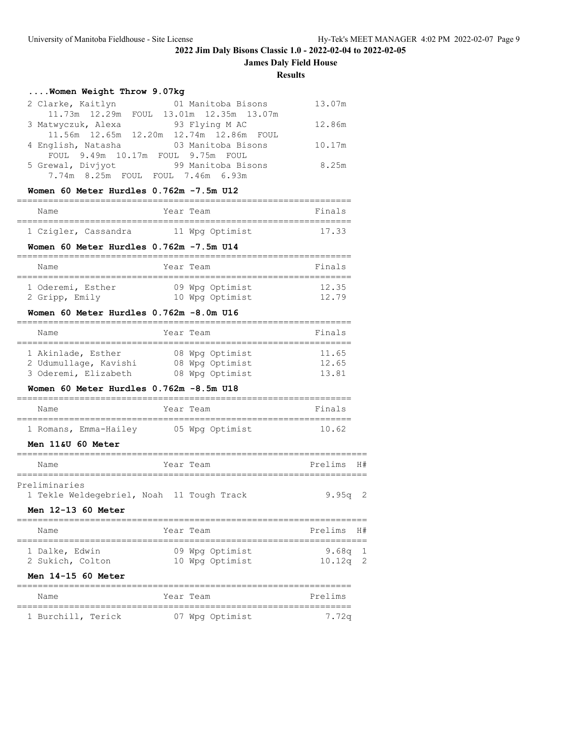**James Daly Field House**

#### **Results**

# **....Women Weight Throw 9.07kg**

| 2 Clarke, Kaitlyn  | 01 Manitoba Bisons                      | 13.07m |
|--------------------|-----------------------------------------|--------|
|                    | 11.73m 12.29m FOUL 13.01m 12.35m 13.07m |        |
| 3 Matwyczuk, Alexa | 93 Flying M AC                          | 12.86m |
|                    | 11.56m 12.65m 12.20m 12.74m 12.86m FOUL |        |
| 4 English, Natasha | 03 Manitoba Bisons                      | 10.17m |
|                    | FOUL 9.49m 10.17m FOUL 9.75m FOUL       |        |
| 5 Grewal, Diviyot  | 99 Manitoba Bisons                      | 8.25m  |
|                    | 7.74m 8.25m FOUL FOUL 7.46m 6.93m       |        |

# **Women 60 Meter Hurdles 0.762m -7.5m U12**

| Name |                      | Year Team |                 | Finals |
|------|----------------------|-----------|-----------------|--------|
|      |                      |           |                 |        |
|      | 1 Czigler, Cassandra |           | 11 Wpg Optimist | 17.33  |

### **Women 60 Meter Hurdles 0.762m -7.5m U14**

| Name              | Year Team |                 | Finals |
|-------------------|-----------|-----------------|--------|
| 1 Oderemi, Esther |           | 09 Wpg Optimist | 12.35  |
| 2 Gripp, Emily    |           | 10 Wpg Optimist | 12 79  |

### **Women 60 Meter Hurdles 0.762m -8.0m U16**

| Name                  | Year Team       | Finals |
|-----------------------|-----------------|--------|
|                       |                 |        |
| 1 Akinlade, Esther    | 08 Wpg Optimist | 11.65  |
| 2 Udumullage, Kavishi | 08 Wpg Optimist | 12.65  |
| 3 Oderemi, Elizabeth  | 08 Wpg Optimist | 13.81  |

#### **Women 60 Meter Hurdles 0.762m -8.5m U18**

| Name |                       | Year Team |                 | Finals |
|------|-----------------------|-----------|-----------------|--------|
|      | 1 Romans, Emma-Hailey |           | 05 Wpg Optimist | 10.62  |

### **Men 11&U 60 Meter**

| Name          |                                           |  | Year Team |  | Prelims H# |  |
|---------------|-------------------------------------------|--|-----------|--|------------|--|
|               |                                           |  |           |  |            |  |
| Preliminaries |                                           |  |           |  |            |  |
|               | 1 Tekle Weldegebriel, Noah 11 Tough Track |  |           |  | $9.95q$ 2  |  |

#### **Men 12-13 60 Meter**

| Name                               | Year Team                          | Prelims H#              |  |
|------------------------------------|------------------------------------|-------------------------|--|
| 1 Dalke, Edwin<br>2 Sukich, Colton | 09 Wpg Optimist<br>10 Wpg Optimist | 9.68q $1$<br>$10.12q$ 2 |  |

### **Men 14-15 60 Meter**

| Name               | Year Team       | Prelims |
|--------------------|-----------------|---------|
| 1 Burchill, Terick | 07 Wpg Optimist | 7.72a   |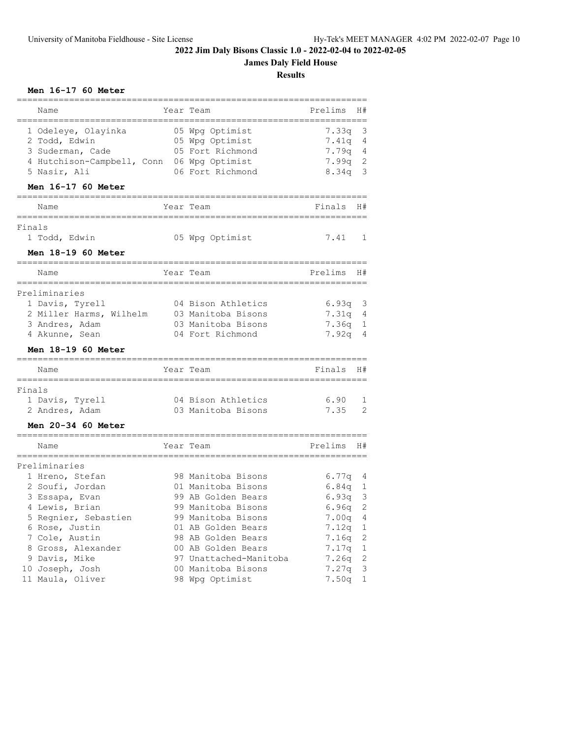# **James Daly Field House**

**Results**

## **Men 16-17 60 Meter**

|        | Name<br>=============                                 | ========================== | Year Team                   | Prelims<br>======      | H#             |
|--------|-------------------------------------------------------|----------------------------|-----------------------------|------------------------|----------------|
|        | 1 Odeleye, Olayinka                                   |                            | 05 Wpg Optimist             | 7.33a                  | 3              |
|        | 2 Todd, Edwin                                         |                            | 05 Wpg Optimist             | 7.41q                  | 4              |
|        | 3 Suderman, Cade                                      |                            | 05 Fort Richmond            | 7.79q                  | 4              |
|        | 4 Hutchison-Campbell, Conn 06 Wpg Optimist            |                            |                             | 7.99q                  | $\mathbf{2}$   |
|        | 5 Nasir, Ali                                          |                            | 06 Fort Richmond            | 8.34q                  | 3              |
|        | Men 16-17 60 Meter                                    |                            |                             |                        |                |
|        | Name                                                  |                            | Year Team                   | Finals                 | H#             |
| Finals | ==========                                            |                            |                             |                        |                |
|        | 1 Todd, Edwin                                         |                            | 05 Wpg Optimist             | 7.41                   | 1              |
|        | Men 18-19 60 Meter                                    |                            |                             |                        |                |
|        | Name                                                  |                            | Year Team                   | Prelims                | H#             |
|        | ============<br>Preliminaries                         |                            |                             |                        |                |
|        | 1 Davis, Tyrell                                       |                            | 04 Bison Athletics          | 6.93q                  | 3              |
|        | 2 Miller Harms, Wilhelm                               |                            | 03 Manitoba Bisons          | 7.31q                  | 4              |
|        | 3 Andres, Adam                                        |                            | 03 Manitoba Bisons          | 7.36q                  | 1              |
|        | 4 Akunne, Sean                                        |                            | 04 Fort Richmond            | 7.92q                  | $\overline{4}$ |
|        | Men 18-19 60 Meter<br>.___________________________    |                            | ---------------------       |                        |                |
|        | Name<br>============                                  |                            | Year Team<br>-------------- | Finals<br>============ | H#             |
| Finals |                                                       |                            |                             |                        |                |
|        | 1 Davis, Tyrell                                       |                            | 04 Bison Athletics          | 6.90                   | 1              |
|        | 2 Andres, Adam                                        |                            | 03 Manitoba Bisons          | 7.35                   | 2              |
|        | Men 20-34 60 Meter<br>=============================== |                            | -------------------         |                        |                |
|        | Name                                                  |                            | Year Team                   | Prelims                | H#             |
|        | Preliminaries                                         |                            |                             |                        |                |
|        | 1 Hreno, Stefan                                       |                            | 98 Manitoba Bisons          | 6.77q                  | 4              |
|        | 2 Soufi, Jordan                                       |                            | 01 Manitoba Bisons          | 6.84q                  | 1              |
|        | 3 Essapa, Evan                                        |                            | 99 AB Golden Bears          | 6.93q                  | 3              |
|        | 4 Lewis, Brian                                        |                            | 99 Manitoba Bisons          | 6.96q                  | $\overline{2}$ |
|        | 5 Regnier, Sebastien                                  |                            | 99 Manitoba Bisons          | 7.00q                  | $\overline{4}$ |
|        | 6 Rose, Justin                                        |                            | 01 AB Golden Bears          | 7.12q                  | $\mathbf{1}$   |
|        | 7 Cole, Austin                                        |                            | 98 AB Golden Bears          | 7.16q                  | 2              |
|        | 8 Gross, Alexander                                    |                            | 00 AB Golden Bears          | 7.17q                  | 1              |
|        | 9 Davis, Mike                                         |                            | 97 Unattached-Manitoba      | 7.26q                  | 2              |
|        | 10 Joseph, Josh                                       |                            | 00 Manitoba Bisons          | 7.27q                  | 3              |
|        | 11 Maula, Oliver                                      |                            | 98 Wpg Optimist             | 7.50q                  | 1              |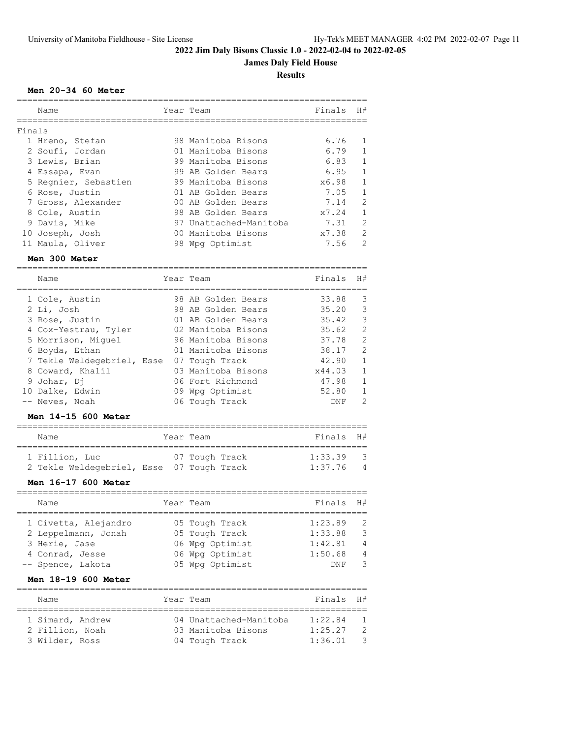# **James Daly Field House**

**Results**

### **Men 20-34 60 Meter**

| Name<br>Year Team<br>Finals |                        | Finals | H#             |
|-----------------------------|------------------------|--------|----------------|
|                             |                        |        |                |
|                             |                        |        |                |
|                             |                        |        |                |
| 1 Hreno, Stefan             | 98 Manitoba Bisons     | 6.76   |                |
| 2 Soufi, Jordan             | 01 Manitoba Bisons     | 6.79   |                |
| 3 Lewis, Brian              | 99 Manitoba Bisons     | 6.83   |                |
| 4 Essapa, Evan              | 99 AB Golden Bears     | 6.95   |                |
| 5 Regnier, Sebastien        | 99 Manitoba Bisons     | x6.98  |                |
| 6 Rose, Justin              | 01 AB Golden Bears     | 7.05   | 1              |
| 7 Gross, Alexander          | 00 AB Golden Bears     | 7.14   | $\mathcal{L}$  |
| 8 Cole, Austin              | 98 AB Golden Bears     | x7.24  |                |
| 9 Davis, Mike               | 97 Unattached-Manitoba | 7.31   | $\mathfrak{D}$ |
| 10 Joseph, Josh             | 00 Manitoba Bisons     | x7.38  | $\mathfrak{D}$ |
| 11 Maula, Oliver            | 98 Wpg Optimist        | 7.56   | $\mathfrak{D}$ |
| Men 300 Meter               |                        |        |                |

| Name                       | Year Team          | Finals | H#            |
|----------------------------|--------------------|--------|---------------|
|                            |                    |        |               |
| 1 Cole, Austin             | 98 AB Golden Bears | 33.88  | 3             |
| 2 Li, Josh                 | 98 AB Golden Bears | 35.20  | 3             |
| 3 Rose, Justin             | 01 AB Golden Bears | 35.42  | $\mathbf{3}$  |
| 4 Cox-Yestrau, Tyler       | 02 Manitoba Bisons | 35.62  | 2             |
| 5 Morrison, Miquel         | 96 Manitoba Bisons | 37.78  | 2             |
| 6 Boyda, Ethan             | 01 Manitoba Bisons | 38.17  | 2             |
| 7 Tekle Weldegebriel, Esse | 07 Tough Track     | 42.90  | $\mathbf{1}$  |
| 8 Coward, Khalil           | 03 Manitoba Bisons | x44.03 | $\mathbf{1}$  |
| 9 Johar, Di                | 06 Fort Richmond   | 47.98  | 1             |
| 10 Dalke, Edwin            | 09 Wpg Optimist    | 52.80  | $\mathbf{1}$  |
| -- Neves, Noah             | 06 Tough Track     | DNF    | $\mathcal{L}$ |

### **Men 14-15 600 Meter**

| Name                                      | Year Team      | Finals H# |                |
|-------------------------------------------|----------------|-----------|----------------|
| 1 Fillion, Luc                            | 07 Tough Track | 1:33.39   | - 3            |
| 2 Tekle Weldegebriel, Esse 07 Tough Track |                | 1:37.76   | $\overline{4}$ |

## **Men 16-17 600 Meter**

| Name                 | Year Team       | Finals H#  |                |
|----------------------|-----------------|------------|----------------|
| 1 Civetta, Alejandro | 05 Tough Track  | 1:23.89    | - 2            |
| 2 Leppelmann, Jonah  | 05 Tough Track  | 1:33.88    | $\mathcal{E}$  |
| 3 Herie, Jase        | 06 Wpg Optimist | 1:42.81    | $\overline{4}$ |
| 4 Conrad, Jesse      | 06 Wpg Optimist | 1:50.68    | $\overline{4}$ |
| -- Spence, Lakota    | 05 Wpg Optimist | <b>DNF</b> | ्र             |

# **Men 18-19 600 Meter**

| Name                                                  | Year Team                                                      | Finals H#                     |                                       |
|-------------------------------------------------------|----------------------------------------------------------------|-------------------------------|---------------------------------------|
| 1 Simard, Andrew<br>2 Fillion, Noah<br>3 Wilder, Ross | 04 Unattached-Manitoba<br>03 Manitoba Bisons<br>04 Tough Track | 1:22.84<br>1:25.27<br>1:36.01 | $\overline{1}$<br>$\mathcal{L}$<br>्र |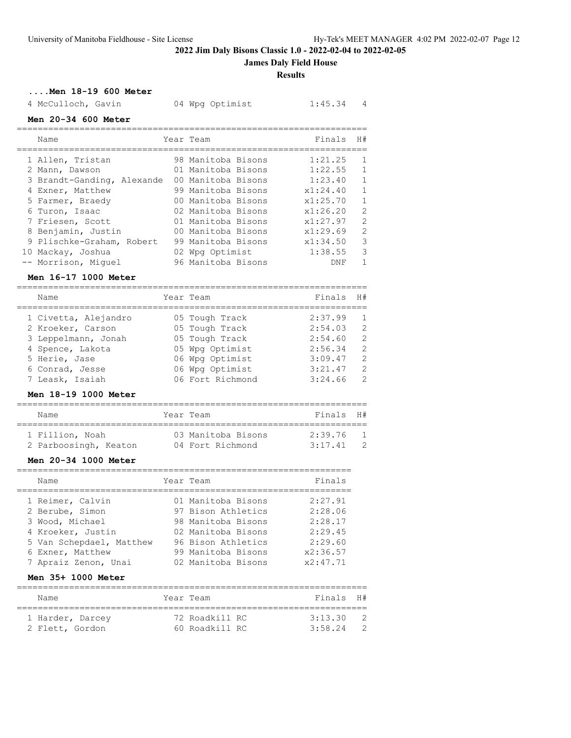**James Daly Field House**

### **Results**

**....Men 18-19 600 Meter**

4 McCulloch, Gavin 04 Wpg Optimist 1:45.34 4

## **Men 20-34 600 Meter**

| Name                       | Year Team          | Finals   | H#             |
|----------------------------|--------------------|----------|----------------|
| 1 Allen, Tristan           | 98 Manitoba Bisons | 1:21.25  | -1             |
| 2 Mann, Dawson             | 01 Manitoba Bisons | 1:22.55  | $\mathbf{1}$   |
| 3 Brandt-Ganding, Alexande | 00 Manitoba Bisons | 1:23.40  | $\mathbf{1}$   |
| 4 Exner, Matthew           | 99 Manitoba Bisons | x1:24.40 | $\mathbf{1}$   |
| 5 Farmer, Braedy           | 00 Manitoba Bisons | x1:25.70 | $\overline{1}$ |
| 6 Turon, Isaac             | 02 Manitoba Bisons | x1:26.20 | 2              |
| 7 Friesen, Scott           | 01 Manitoba Bisons | x1:27.97 | 2              |
| 8 Benjamin, Justin         | 00 Manitoba Bisons | x1:29.69 | 2              |
| 9 Plischke-Graham, Robert  | 99 Manitoba Bisons | x1:34.50 | 3              |
| 10 Mackay, Joshua          | 02 Wpg Optimist    | 1:38.55  | 3              |
| -- Morrison, Miquel        | 96 Manitoba Bisons | DNF      |                |

### **Men 16-17 1000 Meter**

| Name                                                                                                  | Year Team                                                                                | Finals                                              | H#                                                           |
|-------------------------------------------------------------------------------------------------------|------------------------------------------------------------------------------------------|-----------------------------------------------------|--------------------------------------------------------------|
| 1 Civetta, Alejandro<br>2 Kroeker, Carson<br>3 Leppelmann, Jonah<br>4 Spence, Lakota<br>5 Herie, Jase | 05 Tough Track<br>05 Tough Track<br>05 Tough Track<br>05 Wpg Optimist<br>06 Wpg Optimist | 2:37.99<br>2:54.03<br>2:54.60<br>2:56.34<br>3:09.47 | $\overline{1}$<br>$\overline{2}$<br>-2<br>2<br>$\mathcal{L}$ |
| 6 Conrad, Jesse<br>7 Leask, Isaiah                                                                    | 06 Wpg Optimist<br>06 Fort Richmond                                                      | 3:21.47<br>3:24.66                                  | $\mathcal{L}$<br>$\mathcal{L}$                               |
|                                                                                                       |                                                                                          |                                                     |                                                              |

# **Men 18-19 1000 Meter**

| Name                                     | Year Team                              | Finals H#          |  |
|------------------------------------------|----------------------------------------|--------------------|--|
| 1 Fillion, Noah<br>2 Parboosingh, Keaton | 03 Manitoba Bisons<br>04 Fort Richmond | 2:39.76<br>3:17.41 |  |

### **Men 20-34 1000 Meter**

| Name                     | Year Team          | Finals   |
|--------------------------|--------------------|----------|
| 1 Reimer, Calvin         | 01 Manitoba Bisons | 2:27.91  |
| 2 Berube, Simon          | 97 Bison Athletics | 2:28.06  |
| 3 Wood, Michael          | 98 Manitoba Bisons | 2:28.17  |
| 4 Kroeker, Justin        | 02 Manitoba Bisons | 2:29.45  |
| 5 Van Schepdael, Matthew | 96 Bison Athletics | 2:29.60  |
| 6 Exner, Matthew         | 99 Manitoba Bisons | x2:36.57 |
| 7 Apraiz Zenon, Unai     | 02 Manitoba Bisons | x2:47.71 |

#### **Men 35+ 1000 Meter**

| Name                                | Year Team                        | Finals H#          |                       |
|-------------------------------------|----------------------------------|--------------------|-----------------------|
| 1 Harder, Darcey<br>2 Flett, Gordon | 72 Roadkill RC<br>60 Roadkill RC | 3:13.30<br>3:58.24 | $\overline{2}$<br>- 2 |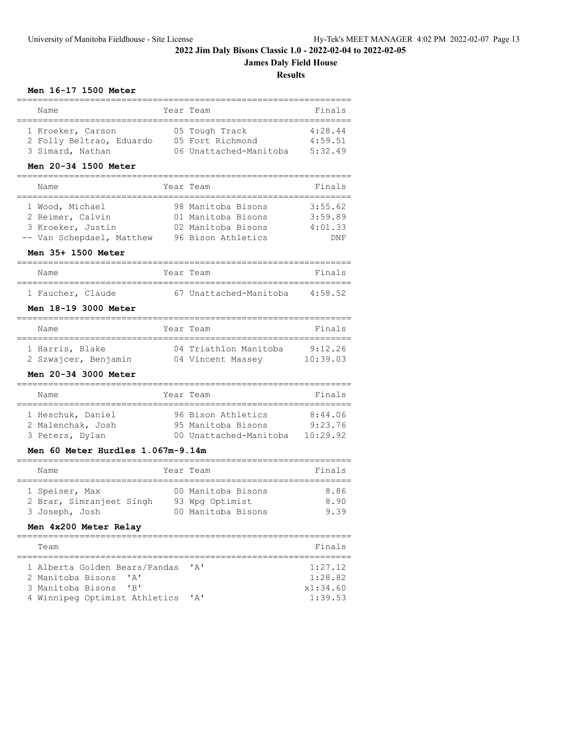**James Daly Field House**

**Results**

# **Men 16-17 1500 Meter**

| Name<br>----------<br>=========                | Year Team<br>===============             | Finals   |
|------------------------------------------------|------------------------------------------|----------|
| 1 Kroeker, Carson                              | 05 Tough Track                           | 4:28.44  |
| 2 Folly Beltrao, Eduardo                       | 05 Fort Richmond                         | 4:59.51  |
| 3 Simard, Nathan                               | 06 Unattached-Manitoba                   | 5:32.49  |
| Men 20-34 1500 Meter                           |                                          |          |
| Name                                           | Year Team                                | Finals   |
| =================<br>1 Wood, Michael           | 98 Manitoba Bisons                       | 3:55.62  |
| 2 Reimer, Calvin                               | 01 Manitoba Bisons                       | 3:59.89  |
| 3 Kroeker, Justin                              | 02 Manitoba Bisons                       | 4:01.33  |
| -- Van Schepdael, Matthew                      | 96 Bison Athletics                       | DNF      |
|                                                |                                          |          |
| Men 35+ 1500 Meter<br>======================== |                                          |          |
| Name<br>:============                          | Year Team                                | Finals   |
| 1 Faucher, Claude                              | 67 Unattached-Manitoba                   | 4:58.52  |
| Men 18-19 3000 Meter                           |                                          |          |
| Name                                           | Year Team<br>--------------------------- | Finals   |
| 1 Harris, Blake                                | 04 Triathlon Manitoba                    | 9:12.26  |
| 2 Szwajcer, Benjamin                           | 04 Vincent Massey                        | 10:39.03 |
| Men 20-34 3000 Meter                           |                                          |          |
| Name                                           | Year Team                                | Finals   |
| 1 Heschuk, Daniel                              | 96 Bison Athletics                       | 8:44.06  |
| 2 Malenchak, Josh                              | 95 Manitoba Bisons                       | 9:23.76  |
| 3 Peters, Dylan                                | 00 Unattached-Manitoba                   | 10:29.92 |
| Men 60 Meter Hurdles 1.067m-9.14m              |                                          |          |
| ==============================<br>Name         | ============<br>Year Team                | Finals   |
| 1 Speiser, Max                                 | 00 Manitoba Bisons                       | 8.86     |
| 2 Brar, Simranjeet Singh                       | 93 Wpg Optimist                          | 8.90     |
| 3 Joseph, Josh                                 | 00 Manitoba Bisons                       | 9.39     |
| Men 4x200 Meter Relay                          |                                          |          |
| ------                                         |                                          | ======== |
| Team                                           |                                          | Finals   |
| 1 Alberta Golden Bears/Pandas                  | $^{\prime}$ A $^{\prime}$                | 1:27.12  |
| 2 Manitoba Bisons<br>' A'                      |                                          | 1:28.82  |

 3 Manitoba Bisons 'B' x1:34.60 4 Winnipeg Optimist Athletics 'A'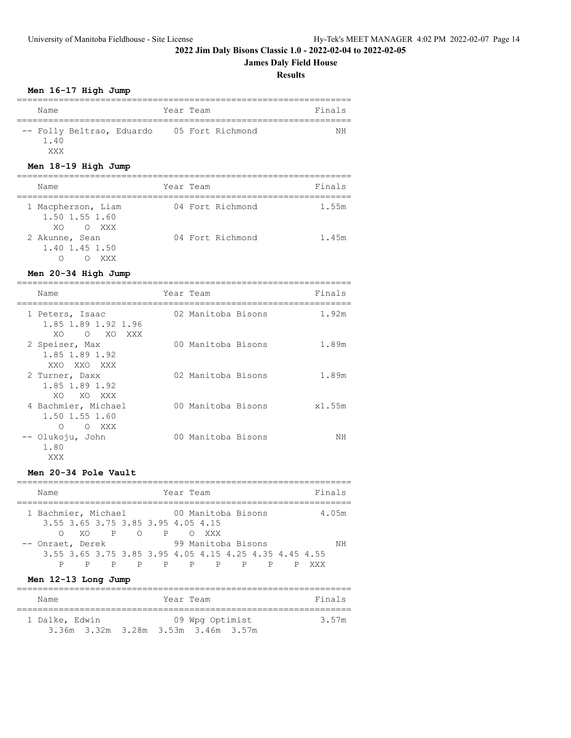# **James Daly Field House**

**Results**

# **Men 16-17 High Jump**

| Name             |                           | Year Team |                  | Finals |
|------------------|---------------------------|-----------|------------------|--------|
| $1 \quad 4 \cap$ | -- Folly Beltrao, Eduardo |           | 05 Fort Richmond | ΝH     |

# **Men 18-19 High Jump**

XXX

| Name                                           | Year Team        | Finals |
|------------------------------------------------|------------------|--------|
| 1 Macpherson, Liam<br>1.50 1.55 1.60<br>XOOXXX | 04 Fort Richmond | 1.55m  |
| 2 Akunne, Sean<br>1.40 1.45 1.50<br>XXX        | 04 Fort Richmond | 1.45m  |

# **Men 20-34 High Jump**

| Name                                                            | Year Team          | Finals |
|-----------------------------------------------------------------|--------------------|--------|
| 1 Peters, Isaac<br>1.85 1.89 1.92 1.96<br>XO.<br>O XO XXX       | 02 Manitoba Bisons | 1.92m  |
| 2 Speiser, Max<br>1.85 1.89 1.92<br>XXO XXO XXX                 | 00 Manitoba Bisons | 1.89m  |
| 2 Turner, Daxx<br>1.85 1.89 1.92<br>XO XO XXX                   | 02 Manitoba Bisons | 1.89m  |
| 4 Bachmier, Michael<br>1.50 1.55 1.60<br>XXX X<br>∩<br>$\Omega$ | 00 Manitoba Bisons | x1.55m |
| -- Olukoju, John<br>1.80<br>XXX                                 | 00 Manitoba Bisons | ΝH     |

### **Men 20-34 Pole Vault**

| Name                                                      | Year Team                                                                    | Finals |  |  |  |  |
|-----------------------------------------------------------|------------------------------------------------------------------------------|--------|--|--|--|--|
| 1 Bachmier, Michael<br>3.55 3.65 3.75 3.85 3.95 4.05 4.15 | 00 Manitoba Bisons                                                           | 4.05m  |  |  |  |  |
| XOP OP                                                    | XXX.                                                                         |        |  |  |  |  |
| -- Onraet, Derek                                          | 99 Manitoba Bisons<br>3.55 3.65 3.75 3.85 3.95 4.05 4.15 4.25 4.35 4.45 4.55 | ΝH     |  |  |  |  |
| P.<br>P<br>P <sub>2</sub>                                 | P P P<br>P                                                                   | XXX    |  |  |  |  |

# **Men 12-13 Long Jump**

| Name           |                                     | Year Team       | Finals |
|----------------|-------------------------------------|-----------------|--------|
| 1 Dalke, Edwin |                                     | 09 Wpg Optimist | 3.57m  |
|                | 3.36m 3.32m 3.28m 3.53m 3.46m 3.57m |                 |        |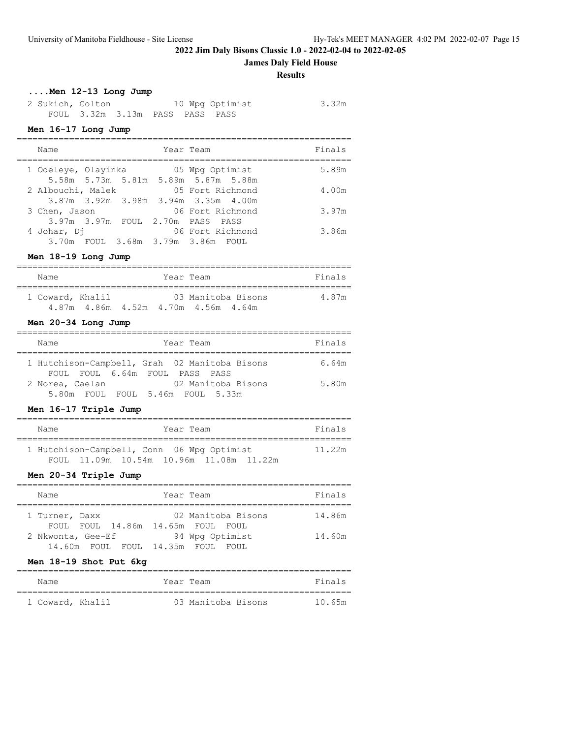**James Daly Field House**

#### **Results**

# **....Men 12-13 Long Jump**

| 2 Sukich, Colton |                                 |  | 10 Wpg Optimist | 3.32m |
|------------------|---------------------------------|--|-----------------|-------|
|                  | FOUL 3.32m 3.13m PASS PASS PASS |  |                 |       |

# **Men 16-17 Long Jump**

| Name                |  | Year Team                                               | Finals |
|---------------------|--|---------------------------------------------------------|--------|
| 1 Odeleye, Olayinka |  | 05 Wpg Optimist<br>5.58m 5.73m 5.81m 5.89m 5.87m 5.88m  | 5.89m  |
| 2 Albouchi, Malek   |  | 05 Fort Richmond<br>3.87m 3.92m 3.98m 3.94m 3.35m 4.00m | 4.00m  |
| 3 Chen, Jason       |  | 06 Fort Richmond<br>3.97m 3.97m FOUL 2.70m PASS PASS    | 3.97m  |
| 4 Johar, Dj         |  | 06 Fort Richmond<br>3.70m FOUL 3.68m 3.79m 3.86m FOUL   | 3.86m  |

### **Men 18-19 Long Jump**

| Name             |  | Year Team |                                                                | Finals |
|------------------|--|-----------|----------------------------------------------------------------|--------|
| 1 Coward, Khalil |  |           | 03 Manitoba Bisons<br>4.87m  4.86m  4.52m  4.70m  4.56m  4.64m | 4.87m  |

# **Men 20-34 Long Jump**

| Name                                          |  |                                | Year Team |                    | Finals |
|-----------------------------------------------|--|--------------------------------|-----------|--------------------|--------|
| 1 Hutchison-Campbell, Grah 02 Manitoba Bisons |  |                                |           |                    | 6.64m  |
|                                               |  | FOUL FOUL 6.64m FOUL PASS PASS |           |                    |        |
| 2 Norea, Caelan                               |  |                                |           | 02 Manitoba Bisons | 5.80m  |
| $5.80m$ FOUL                                  |  | FOUL 5.46m FOUL 5.33m          |           |                    |        |

# **Men 16-17 Triple Jump**

| Name |  | Year Team |                                            |  | Finals |
|------|--|-----------|--------------------------------------------|--|--------|
|      |  |           | 1 Hutchison-Campbell, Conn 06 Wpg Optimist |  | 11.22m |
|      |  |           | FOUL 11.09m 10.54m 10.96m 11.08m 11.22m    |  |        |

### **Men 20-34 Triple Jump**

| Name              |                              | Year Team |                          | Finals |
|-------------------|------------------------------|-----------|--------------------------|--------|
| 1 Turner, Daxx    |                              |           | 02 Manitoba Bisons       | 14.86m |
| 2 Nkwonta, Gee-Ef | FOUL FOUL 14.86m 14.65m FOUL |           | FOUL.<br>94 Wpg Optimist | 14.60m |
|                   | 14.60m FOUL FOUL 14.35m FOUL |           | - FOUL.                  |        |

# **Men 18-19 Shot Put 6kg**

| Name             | Year Team |                    | Finals |
|------------------|-----------|--------------------|--------|
|                  |           |                    |        |
| 1 Coward, Khalil |           | 03 Manitoba Bisons | 10 65m |